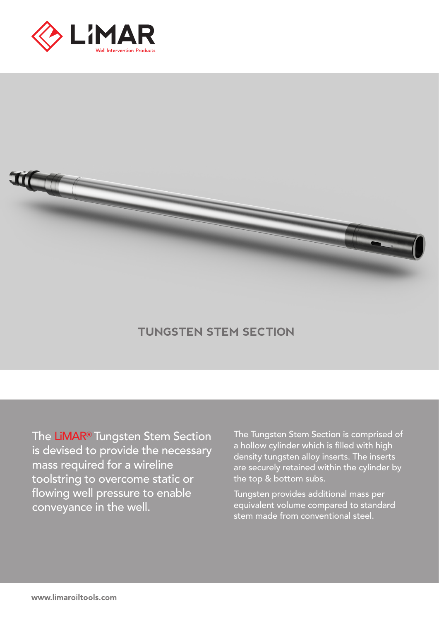



## **TUNGSTEN STEM SECTION**

The LiMAR**®** Tungsten Stem Section is devised to provide the necessary mass required for a wireline toolstring to overcome static or flowing well pressure to enable conveyance in the well.

The Tungsten Stem Section is comprised of a hollow cylinder which is filled with high density tungsten alloy inserts. The inserts are securely retained within the cylinder by the top & bottom subs.

Tungsten provides additional mass per equivalent volume compared to standard stem made from conventional steel.